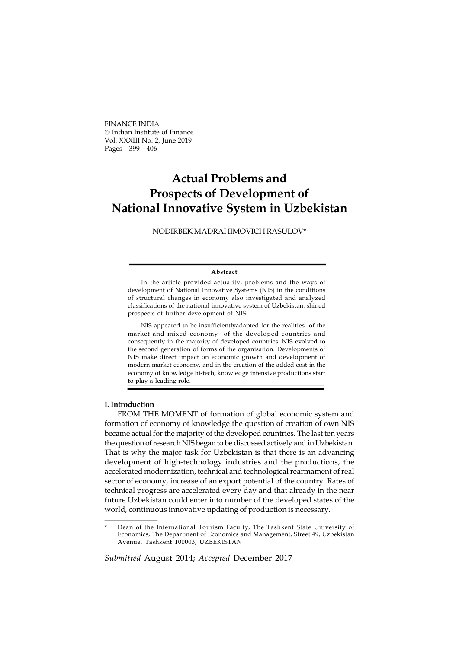FINANCE INDIA Indian Institute of Finance Vol. XXXIII No. 2, June 2019 Pages—399—406

## Actual Problems and Prospects of Development of National Innovative System in Uzbekistan

NODIRBEK MADRAHIMOVICH RASULOV\*

## Abstract

In the article provided actuality, problems and the ways of development of National Innovative Systems (NIS) in the conditions of structural changes in economy also investigated and analyzed classifications of the national innovative system of Uzbekistan, shined prospects of further development of NIS.

NIS appeared to be insufficientlyadapted for the realities of the market and mixed economy of the developed countries and consequently in the majority of developed countries. NIS evolved to the second generation of forms of the organisation. Developments of NIS make direct impact on economic growth and development of modern market economy, and in the creation of the added cost in the economy of knowledge hi-tech, knowledge intensive productions start to play a leading role.

## I. Introduction

FROM THE MOMENT of formation of global economic system and formation of economy of knowledge the question of creation of own NIS became actual for the majority of the developed countries. The last ten years the question of research NIS began to be discussed actively and in Uzbekistan. That is why the major task for Uzbekistan is that there is an advancing development of high-technology industries and the productions, the accelerated modernization, technical and technological rearmament of real sector of economy, increase of an export potential of the country. Rates of technical progress are accelerated every day and that already in the near future Uzbekistan could enter into number of the developed states of the world, continuous innovative updating of production is necessary.

Submitted August 2014; Accepted December 2017

Dean of the International Tourism Faculty, The Tashkent State University of Economics, The Department of Economics and Management, Street 49, Uzbekistan Avenue, Tashkent 100003, UZBEKISTAN